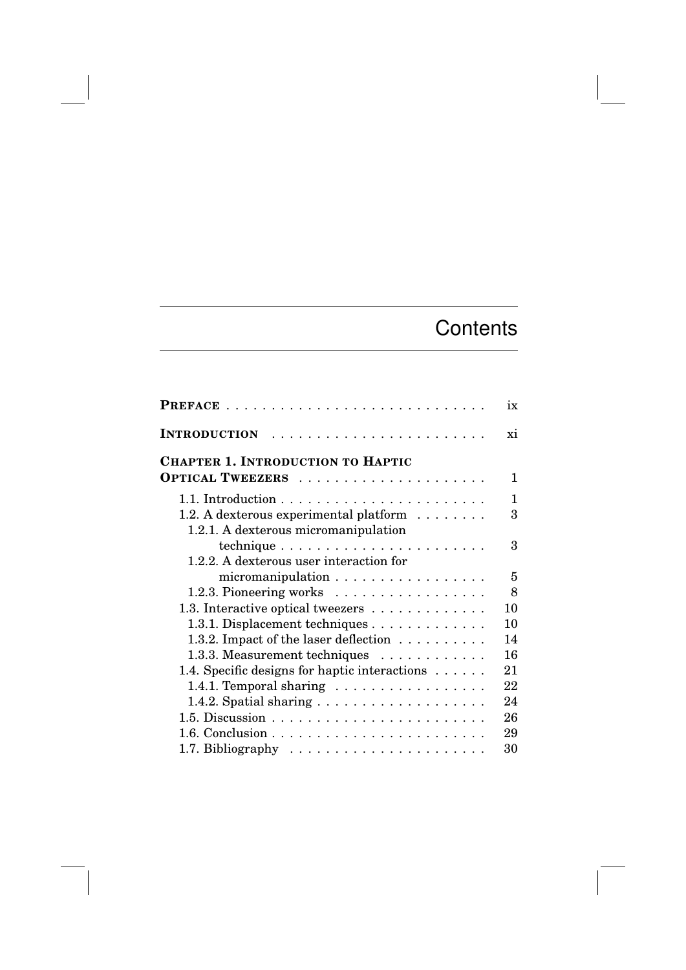## **Contents**

|                                                              | ix |
|--------------------------------------------------------------|----|
|                                                              | xi |
| <b>CHAPTER 1. INTRODUCTION TO HAPTIC</b>                     |    |
|                                                              | 1  |
|                                                              | 1  |
| 1.2. A dexterous experimental platform $\dots \dots$         | 3  |
| 1.2.1. A dexterous micromanipulation                         |    |
| technique $\ldots \ldots \ldots \ldots \ldots \ldots \ldots$ | 3  |
| 1.2.2. A dexterous user interaction for                      |    |
| micromanipulation                                            | 5  |
| 1.2.3. Pioneering works                                      | 8  |
| 1.3. Interactive optical tweezers                            | 10 |
| 1.3.1. Displacement techniques                               | 10 |
| 1.3.2. Impact of the laser deflection $\dots \dots \dots$    | 14 |
| 1.3.3. Measurement techniques                                | 16 |
| 1.4. Specific designs for haptic interactions                | 21 |
| 1.4.1. Temporal sharing $\ldots \ldots \ldots \ldots \ldots$ | 22 |
|                                                              | 24 |
|                                                              | 26 |
|                                                              | 29 |
|                                                              | 30 |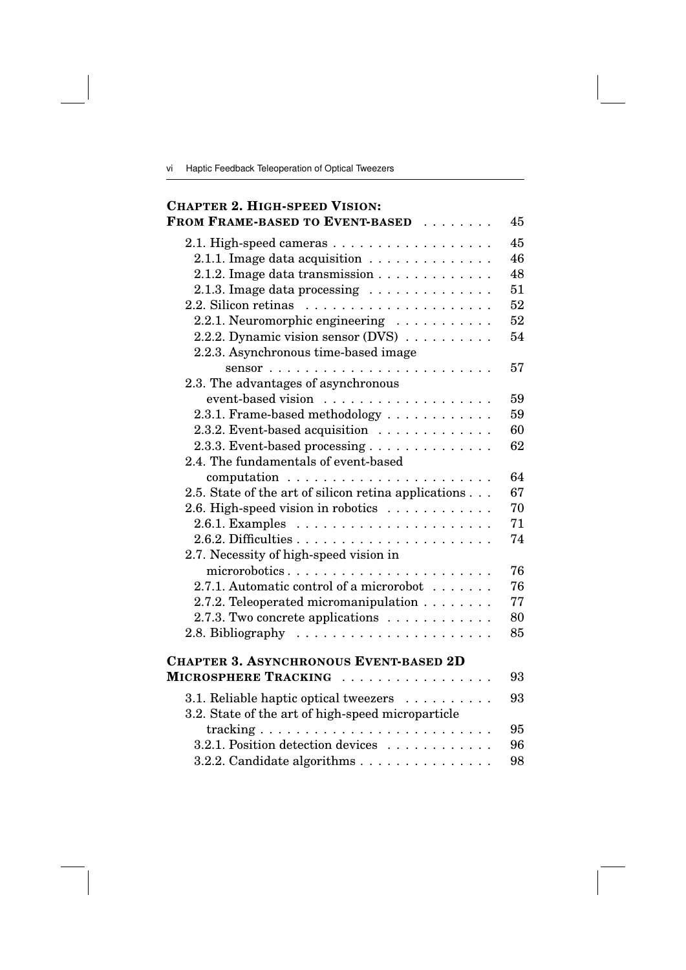vi Haptic Feedback Teleoperation of Optical Tweezers

## **CHAPTER 2. HIGH-SPEED VISION: FROM FRAME-BASED TO EVENT-BASED** ........ 45 2.1. High-speed cameras  $\ldots \ldots \ldots \ldots \ldots$ . 45 2.1.1. Image data acquisition .............. 46 2.1.2. Image data transmission ............. 48 2.1.3. Image data processing .............. 51 2.2. Silicon retinas  $\dots \dots \dots \dots \dots \dots \dots \dots \dots$ 52 2.2.1. Neuromorphic engineering  $\ldots \ldots \ldots$ . 52 2.2.2. Dynamic vision sensor (DVS) .......... 54 2.2.3. Asynchronous time-based image sensor ......................... 57 2.3. The advantages of asynchronous event-based vision ................... 59 2.3.1. Frame-based methodology ............ 59 2.3.2. Event-based acquisition ............. 60 2.3.3. Event-based processing  $\ldots \ldots \ldots \ldots$ . 62 2.4. The fundamentals of event-based computation ....................... 64 2.5. State of the art of silicon retina applications ... 67 2.6. High-speed vision in robotics  $\ldots \ldots \ldots$ . 70 2.6.1. Examples ...................... 71 2.6.2. Difficulties ...................... 74 2.7. Necessity of high-speed vision in microrobotics ....................... 76 2.7.1. Automatic control of a microrobot ....... 76 2.7.2. Teleoperated micromanipulation . . . . . . . . 77 2.7.3. Two concrete applications  $\dots \dots \dots \dots$  80 2.8. Bibliography  $\ldots \ldots \ldots \ldots \ldots \ldots$ . **CHAPTER 3. ASYNCHRONOUS EVENT-BASED 2D MICROSPHERE TRACKING** ................. 93 3.1. Reliable haptic optical tweezers .......... 93 3.2. State of the art of high-speed microparticle tracking .......................... 95 3.2.1. Position detection devices ............ 96 3.2.2. Candidate algorithms . . . . . . . . . . . . . . 98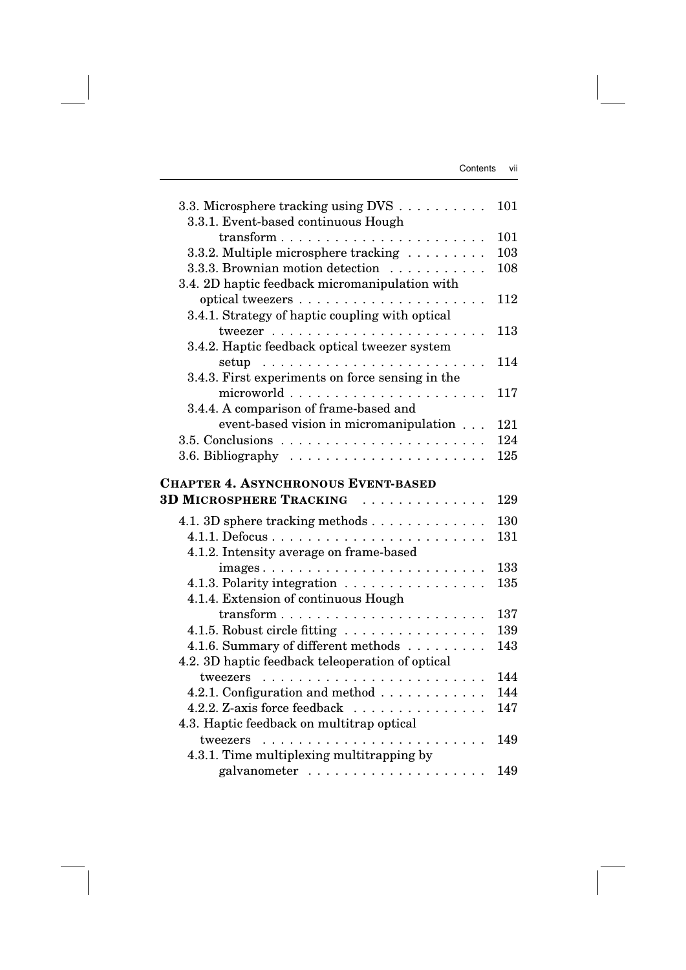| 3.3. Microsphere tracking using DVS<br>3.3.1. Event-based continuous Hough | 101 |
|----------------------------------------------------------------------------|-----|
| $\text{transform} \dots \dots \dots \dots \dots \dots \dots \dots \dots$   | 101 |
| 3.3.2. Multiple microsphere tracking                                       | 103 |
| 3.3.3. Brownian motion detection                                           | 108 |
| 3.4. 2D haptic feedback micromanipulation with                             |     |
|                                                                            | 112 |
| 3.4.1. Strategy of haptic coupling with optical                            |     |
|                                                                            | 113 |
| 3.4.2. Haptic feedback optical tweezer system                              |     |
|                                                                            | 114 |
|                                                                            |     |
| 3.4.3. First experiments on force sensing in the                           |     |
|                                                                            | 117 |
| 3.4.4. A comparison of frame-based and                                     |     |
| event-based vision in micromanipulation                                    | 121 |
|                                                                            | 124 |
|                                                                            | 125 |
| <b>CHAPTER 4. ASYNCHRONOUS EVENT-BASED</b>                                 |     |
| <b>3D MICROSPHERE TRACKING</b><br>.                                        | 129 |
|                                                                            |     |
| 4.1. 3D sphere tracking methods                                            | 130 |
|                                                                            | 131 |
| 4.1.2. Intensity average on frame-based                                    |     |
|                                                                            | 133 |
| 4.1.3. Polarity integration $\ldots \ldots \ldots \ldots \ldots$           | 135 |
| 4.1.4. Extension of continuous Hough                                       |     |
|                                                                            | 137 |
| 4.1.5. Robust circle fitting                                               | 139 |
| 4.1.6. Summary of different methods                                        | 143 |
|                                                                            |     |
| 4.2. 3D haptic feedback teleoperation of optical                           |     |
| tweezers                                                                   | 144 |
|                                                                            | 144 |
| 4.2.1. Configuration and method                                            |     |
| 4.2.2. Z-axis force feedback                                               | 147 |
| 4.3. Haptic feedback on multitrap optical<br>tweezers                      | 149 |
|                                                                            |     |
| 4.3.1. Time multiplexing multitrapping by                                  | 149 |